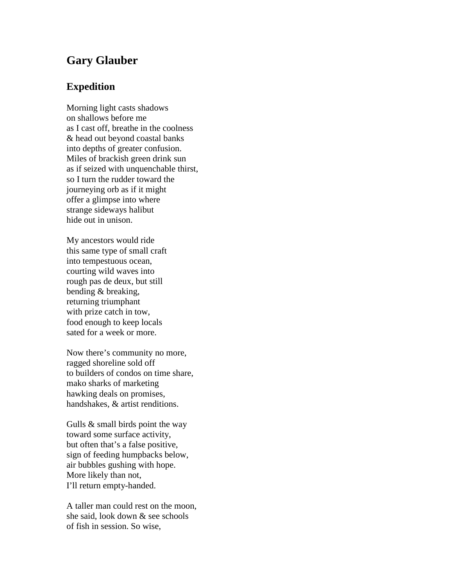## **Gary Glauber**

## **Expedition**

Morning light casts shadows on shallows before me as I cast off, breathe in the coolness & head out beyond coastal banks into depths of greater confusion. Miles of brackish green drink sun as if seized with unquenchable thirst, so I turn the rudder toward the journeying orb as if it might offer a glimpse into where strange sideways halibut hide out in unison.

My ancestors would ride this same type of small craft into tempestuous ocean, courting wild waves into rough pas de deux, but still bending & breaking, returning triumphant with prize catch in tow, food enough to keep locals sated for a week or more.

Now there's community no more, ragged shoreline sold off to builders of condos on time share, mako sharks of marketing hawking deals on promises, handshakes, & artist renditions.

Gulls & small birds point the way toward some surface activity, but often that's a false positive, sign of feeding humpbacks below, air bubbles gushing with hope. More likely than not, I'll return empty-handed.

A taller man could rest on the moon, she said, look down & see schools of fish in session. So wise,